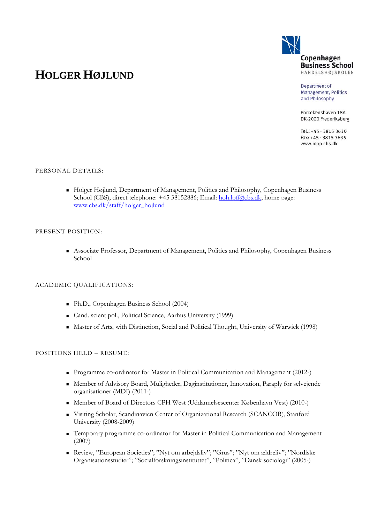

# **HOLGER HØJLUND**

Department of **Management, Politics** and Philosophy

Porcelænshaven 18A DK-2000 Frederiksberg

Tel.: +45 · 3815 3630 Fax: +45 · 3815 3635 www.mpp.cbs.dk

# PERSONAL DETAILS:

 Holger Højlund, Department of Management, Politics and Philosophy, Copenhagen Business School (CBS); direct telephone: +45 38152886; Email: hoh.lpf@cbs.dk; home page: www.cbs.dk/staff/holger\_hojlund

## PRESENT POSITION:

 Associate Professor, Department of Management, Politics and Philosophy, Copenhagen Business School

# ACADEMIC QUALIFICATIONS:

- Ph.D., Copenhagen Business School (2004)
- Cand. scient pol., Political Science, Aarhus University (1999)
- Master of Arts, with Distinction, Social and Political Thought, University of Warwick (1998)

# POSITIONS HELD – RESUMÉ:

- Programme co-ordinator for Master in Political Communication and Management (2012-)
- Member of Advisory Board, Muligheder, Daginstitutioner, Innovation, Paraply for selvejende organisationer (MDI) (2011-)
- Member of Board of Directors CPH West (Uddannelsescenter København Vest) (2010-)
- Visiting Scholar, Scandinavien Center of Organizational Research (SCANCOR), Stanford University (2008-2009)
- Temporary programme co-ordinator for Master in Political Communication and Management (2007)
- Review, "European Societies"; "Nyt om arbejdsliv"; "Grus"; "Nyt om ældreliv"; "Nordiske Organisationsstudier"; "Socialforskningsinstituttet", "Politica", "Dansk sociologi" (2005-)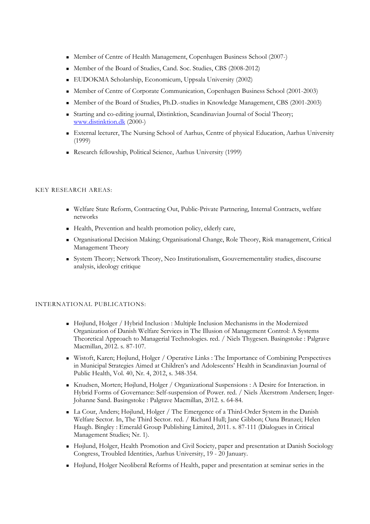- Member of Centre of Health Management, Copenhagen Business School (2007-)
- Member of the Board of Studies, Cand. Soc. Studies, CBS (2008-2012)
- EUDOKMA Scholarship, Economicum, Uppsala University (2002)
- Member of Centre of Corporate Communication, Copenhagen Business School (2001-2003)
- Member of the Board of Studies, Ph.D.-studies in Knowledge Management, CBS (2001-2003)
- Starting and co-editing journal, Distinktion, Scandinavian Journal of Social Theory; www.distinktion.dk (2000-)
- External lecturer, The Nursing School of Aarhus, Centre of physical Education, Aarhus University (1999)
- Research fellowship, Political Science, Aarhus University (1999)

## KEY RESEARCH AREAS:

- Welfare State Reform, Contracting Out, Public-Private Partnering, Internal Contracts, welfare networks
- Health, Prevention and health promotion policy, elderly care,
- Organisational Decision Making; Organisational Change, Role Theory, Risk management, Critical Management Theory
- System Theory; Network Theory, Neo Institutionalism, Gouvernementality studies, discourse analysis, ideology critique

# INTERNATIONAL PUBLICATIONS:

- Højlund, Holger / Hybrid Inclusion : Multiple Inclusion Mechanisms in the Modernized Organization of Danish Welfare Services in The Illusion of Management Control: A Systems Theoretical Approach to Managerial Technologies. red. / Niels Thygesen. Basingstoke : Palgrave Macmillan, 2012. s. 87-107.
- Wistoft, Karen; Højlund, Holger / Operative Links : The Importance of Combining Perspectives in Municipal Strategies Aimed at Children's and Adolescents' Health in Scandinavian Journal of Public Health, Vol. 40, Nr. 4, 2012, s. 348-354.
- Knudsen, Morten; Højlund, Holger / Organizational Suspensions : A Desire for Interaction. in Hybrid Forms of Governance: Self-suspension of Power. red. / Niels Åkerstrøm Andersen; Inger-Johanne Sand. Basingstoke : Palgrave Macmillan, 2012. s. 64-84.
- La Cour, Anders; Højlund, Holger / The Emergence of a Third-Order System in the Danish Welfare Sector. In, The Third Sector. red. / Richard Hull; Jane Gibbon; Oana Branzei; Helen Haugh. Bingley : Emerald Group Publishing Limited, 2011. s. 87-111 (Dialogues in Critical Management Studies; Nr. 1).
- Højlund, Holger, Health Promotion and Civil Society, paper and presentation at Danish Sociology Congress, Troubled Identities, Aarhus University, 19 - 20 January.
- Højlund, Holger Neoliberal Reforms of Health, paper and presentation at seminar series in the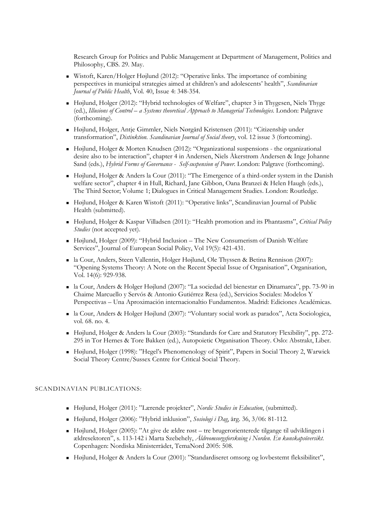Research Group for Politics and Public Management at Department of Management, Politics and Philosophy, CBS. 29. May.

- Wistoft, Karen/Holger Højlund (2012): "Operative links. The importance of combining perspectives in municipal strategies aimed at children's and adolescents' health", *Scandinavian Journal of Public Health*, Vol. 40, Issue 4: 348-354.
- Højlund, Holger (2012): "Hybrid technologies of Welfare", chapter 3 in Thygesen, Niels Thyge (ed.), *Illusions of Control – a Systems theoretical Approach to Managerial Technologies*. London: Palgrave (forthcoming).
- Højlund, Holger, Antje Gimmler, Niels Nørgård Kristensen (2011): "Citizenship under transformation", *Distinktion. Scandinavian Journal of Social theory*, vol. 12 issue 3 (fortcoming).
- Højlund, Holger & Morten Knudsen (2012): "Organizational suspensions the organizational desire also to be interaction", chapter 4 in Andersen, Niels Åkerstrøm Andersen & Inge Johanne Sand (eds.), *Hybrid Forms of Governance - Self-suspension of Power*. London: Palgrave (forthcoming).
- Højlund, Holger & Anders la Cour (2011): "The Emergence of a third-order system in the Danish welfare sector", chapter 4 in Hull, Richard, Jane Gibbon, Oana Branzei & Helen Haugh (eds.), The Third Sector; Volume 1; Dialogues in Critical Management Studies. London: Routledge.
- Højlund, Holger & Karen Wistoft (2011): "Operative links", Scandinavian Journal of Public Health (submitted).
- Højlund, Holger & Kaspar Villadsen (2011): "Health promotion and its Phantasms", *Critical Policy Studies* (not accepted yet).
- Højlund, Holger (2009): "Hybrid Inclusion The New Consumerism of Danish Welfare Services", Journal of European Social Policy, Vol 19(5): 421-431.
- la Cour, Anders, Steen Vallentin, Holger Højlund, Ole Thyssen & Betina Rennison (2007): "Opening Systems Theory: A Note on the Recent Special Issue of Organisation", Organisation, Vol. 14(6): 929-938.
- la Cour, Anders & Holger Højlund (2007): "La sociedad del bienestar en Dinamarca", pp. 73-90 in Chaime Marcuello y Servós & Antonio Gutiérrez Resa (ed.), Servicios Sociales: Modelos Y Perspectivas – Una Aproximación internacionaltio Fundamentos. Madrid: Ediciones Académicas.
- la Cour, Anders & Holger Højlund (2007): "Voluntary social work as paradox", Acta Sociologica, vol. 68. no. 4.
- Højlund, Holger & Anders la Cour (2003): "Standards for Care and Statutory Flexibility", pp. 272- 295 in Tor Hernes & Tore Bakken (ed.), Autopoietic Organisation Theory. Oslo: Abstrakt, Liber.
- Højlund, Holger (1998): "Hegel's Phenomenology of Spirit", Papers in Social Theory 2, Warwick Social Theory Centre/Sussex Centre for Critical Social Theory.

# SCANDINAVIAN PUBLICATIONS:

- Højlund, Holger (2011): "Lærende projekter", *Nordic Studies in Education*, (submitted).
- Højlund, Holger (2006): "Hybrid inklusion", *Sosiologi i Dag*, årg. 36, 3/06: 81-112.
- Højlund, Holger (2005): "At give de ældre røst tre brugerorienterede tilgange til udviklingen i ældresektoren", s. 113-142 i Marta Szebehely, *Äldreomsorgsforskning i Norden. En kunskapsöversikt*. Copenhagen: Nordiska Ministerrådet, TemaNord 2005: 508.
- Højlund, Holger & Anders la Cour (2001): "Standardiseret omsorg og lovbestemt fleksibilitet",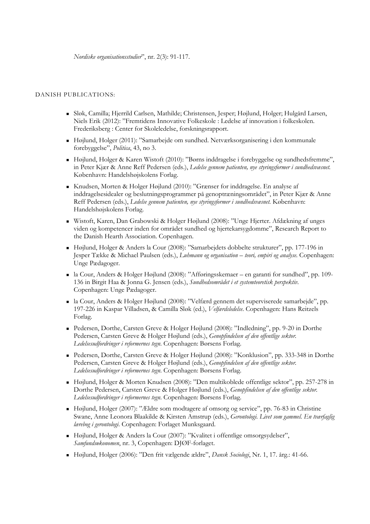## DANISH PUBLICATIONS:

- Sløk, Camilla; Hjerrild Carlsen, Mathilde; Christensen, Jesper; Højlund, Holger; Hulgård Larsen, Niels Erik (2012): "Fremtidens Innovative Folkeskole : Ledelse af innovation i folkeskolen. Frederiksberg : Center for Skoleledelse, forskningsrapport.
- Højlund, Holger (2011): "Samarbejde om sundhed. Netværksorganisering i den kommunale forebyggelse", *Politica*, 43, no 3.
- Højlund, Holger & Karen Wistoft (2010): "Børns inddragelse i forebyggelse og sundhedsfremme", in Peter Kjær & Anne Reff Pedersen (eds.), *Ledelse gennem patienten, nye styringsformer i sundhedsvæsnet.* København: Handelshøjskolens Forlag.
- Knudsen, Morten & Holger Højlund (2010): "Grænser for inddragelse. En analyse af inddragelsesidealer og beslutningsprogrammer på genoptræningsområdet", in Peter Kjær & Anne Reff Pedersen (eds.), *Ledelse gennem patienten, nye styringsformer i sundhedsvæsnet.* København: Handelshøjskolens Forlag.
- Wistoft, Karen, Dan Grabowski & Holger Højlund (2008): "Unge Hjerter. Afdækning af unges viden og kompetencer inden for området sundhed og hjertekarsygdomme", Research Report to the Danish Hearth Association. Copenhagen.
- Højlund, Holger & Anders la Cour (2008): "Samarbejdets dobbelte strukturer", pp. 177-196 in Jesper Tække & Michael Paulsen (eds.), *Luhmann og organisation – teori, empiri og analyse*. Copenhagen: Unge Pædagoger.
- la Cour, Anders & Holger Højlund (2008): "Afføringsskemaer en garanti for sundhed", pp. 109- 136 in Birgit Haa & Jonna G. Jensen (eds.), *Sundhedsområdet i et systemteoretisk perspektiv*. Copenhagen: Unge Pædagoger.
- la Cour, Anders & Holger Højlund (2008): "Velfærd gennem det superviserede samarbejde", pp. 197-226 in Kaspar Villadsen, & Camilla Sløk (ed.), *Velfærdsledelse*. Copenhagen: Hans Reitzels Forlag.
- Pedersen, Dorthe, Carsten Greve & Holger Højlund (2008): "Indledning", pp. 9-20 in Dorthe Pedersen, Carsten Greve & Holger Højlund (eds.), *Genopfindelsen af den offentlige sektor. Ledelsesudfordringer i reformernes tegn*. Copenhagen: Børsens Forlag.
- Pedersen, Dorthe, Carsten Greve & Holger Højlund (2008): "Konklusion", pp. 333-348 in Dorthe Pedersen, Carsten Greve & Holger Højlund (eds.), *Genopfindelsen af den offentlige sektor. Ledelsesudfordringer i reformernes tegn*. Copenhagen: Børsens Forlag.
- Højlund, Holger & Morten Knudsen (2008): "Den multikoblede offentlige sektor", pp. 257-278 in Dorthe Pedersen, Carsten Greve & Holger Højlund (eds.), *Genopfindelsen af den offentlige sektor. Ledelsesudfordringer i reformernes tegn*. Copenhagen: Børsens Forlag.
- Højlund, Holger (2007): "Ældre som modtagere af omsorg og service", pp. 76-83 in Christine Swane, Anne Leonora Blaakilde & Kirsten Amstrup (eds.), *Gerontologi. Livet som gammel. En tværfaglig lærebog i gerontologi*. Copenhagen: Forlaget Munksgaard.
- Højlund, Holger & Anders la Cour (2007): "Kvalitet i offentlige omsorgsydelser", *Samfundsøkonomen*, nr. 3, Copenhagen: DJØF-forlaget.
- Højlund, Holger (2006): "Den frit vælgende ældre", *Dansk Sociologi*, Nr. 1, 17. årg.: 41-66.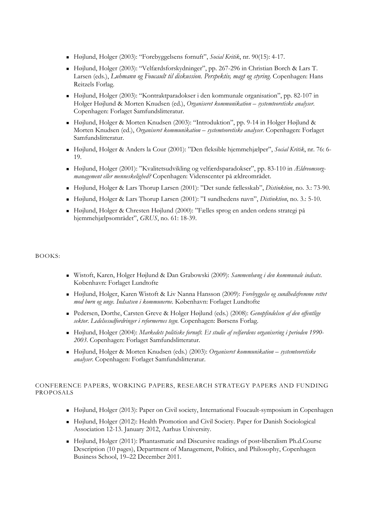- Højlund, Holger (2003): "Forebyggelsens fornuft", *Social Kritik*, nr. 90(15): 4-17.
- Højlund, Holger (2003): "Velfærdsforskydninger", pp. 267-296 in Christian Borch & Lars T. Larsen (eds.), *Luhmann og Foucault til diskussion. Perspektiv, magt og styring*. Copenhagen: Hans Reitzels Forlag.
- Højlund, Holger (2003): "Kontraktparadokser i den kommunale organisation", pp. 82-107 in Holger Højlund & Morten Knudsen (ed.), *Organiseret kommunikation – systemteoretiske analyser*. Copenhagen: Forlaget Samfundslitteratur.
- Højlund, Holger & Morten Knudsen (2003): "Introduktion", pp. 9-14 in Holger Højlund & Morten Knudsen (ed.), *Organiseret kommunikation – systemteoretiske analyser*. Copenhagen: Forlaget Samfundslitteratur.
- Højlund, Holger & Anders la Cour (2001): "Den fleksible hjemmehjælper", *Social Kritik*, nr. 76: 6- 19.
- Højlund, Holger (2001): "Kvalitetsudvikling og velfærdsparadokser", pp. 83-110 in *Ældreomsorgmanagement eller menneskelighed?* Copenhagen: Videnscenter på ældreområdet.
- Højlund, Holger & Lars Thorup Larsen (2001): "Det sunde fællesskab", *Distinktion*, no. 3.: 73-90.
- Højlund, Holger & Lars Thorup Larsen (2001): "I sundhedens navn", *Distinktion*, no. 3.: 5-10.
- Højlund, Holger & Chresten Højlund (2000): "Fælles sprog en anden ordens strategi på hjemmehjælpsområdet", *GRUS*, no. 61: 18-39.

#### BOOKS:

- Wistoft, Karen, Holger Højlund & Dan Grabowski (2009): *Sammenhæng i den kommunale indsats*. København: Forlaget Lundtofte
- Højlund, Holger, Karen Wistoft & Liv Nanna Hansson (2009): *Forebyggelse og sundhedsfremme rettet mod børn og unge. Indsatsen i kommunerne*. København: Forlaget Lundtofte
- Pedersen, Dorthe, Carsten Greve & Holger Højlund (eds.) (2008): *Genopfindelsen af den offentlige sektor*. *Ledelsesudfordringer i reformernes tegn*. Copenhagen: Børsens Forlag.
- Højlund, Holger (2004): *Markedets politiske fornuft. Et studie af velfærdens organisering i perioden 1990- 2003*. Copenhagen: Forlaget Samfundslitteratur.
- Højlund, Holger & Morten Knudsen (eds.) (2003): *Organiseret kommunikation systemteoretiske analyser*. Copenhagen: Forlaget Samfundslitteratur.

## CONFERENCE PAPERS, WORKING PAPERS, RESEARCH STRATEGY PAPERS AND FUNDING PROPOSALS

- Højlund, Holger (2013): Paper on Civil society, International Foucault-symposium in Copenhagen
- Højlund, Holger (2012): Health Promotion and Civil Society. Paper for Danish Sociological Association 12-13. January 2012, Aarhus University.
- Højlund, Holger (2011): Phantasmatic and Discursive readings of post-liberalism Ph.d.Course Description (10 pages), Department of Management, Politics, and Philosophy, Copenhagen Business School, 19–22 December 2011.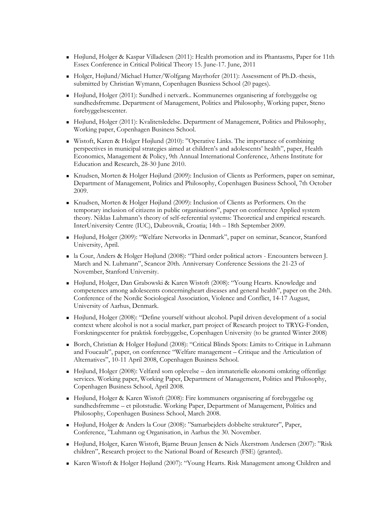- Højlund, Holger & Kaspar Villadesen (2011): Health promotion and its Phantasms, Paper for 11th Essex Conference in Critical Political Theory 15. June-17. June, 2011
- Holger, Højlund/Michael Hutter/Wolfgang Mayrhofer (2011): Assessment of Ph.D.-thesis, submitted by Christian Wymann, Copenhagen Busniess School (20 pages).
- Højlund, Holger (2011): Sundhed i netværk.. Kommunernes organisering af forebyggelse og sundhedsfremme. Department of Management, Politics and Philosophy, Working paper, Steno forebyggelsescenter.
- Højlund, Holger (2011): Kvalitetsledelse. Department of Management, Politics and Philosophy, Working paper, Copenhagen Business School.
- Wistoft, Karen & Holger Højlund (2010): "Operative Links. The importance of combining perspectives in municipal strategies aimed at children's and adolescents' health", paper, Health Economics, Management & Policy, 9th Annual International Conference, Athens Institute for Education and Research, 28-30 June 2010.
- Knudsen, Morten & Holger Højlund (2009): Inclusion of Clients as Performers, paper on seminar, Department of Management, Politics and Philosophy, Copenhagen Business School, 7th October 2009.
- Knudsen, Morten & Holger Højlund (2009): Inclusion of Clients as Performers. On the temporary inclusion of citizens in public organisations", paper on conference Applied system theory. Niklas Luhmann's theory of self-referential systems: Theoretical and empirical research. InterUniversity Centre (IUC), Dubrovnik, Croatia; 14th – 18th September 2009.
- Højlund, Holger (2009): "Welfare Networks in Denmark", paper on seminar, Scancor, Stanford University, April.
- la Cour, Anders & Holger Højlund (2008): "Third order political actors Encounters between J. March and N. Luhmann", Scancor 20th. Anniversary Conference Sessions the 21-23 of November, Stanford University.
- Højlund, Holger, Dan Grabowski & Karen Wistoft (2008): "Young Hearts. Knowledge and competences among adolescents concerningheart diseases and general health", paper on the 24th. Conference of the Nordic Sociological Association, Violence and Conflict, 14-17 August, University of Aarhus, Denmark.
- Højlund, Holger (2008): "Define yourself without alcohol. Pupil driven development of a social context where alcohol is not a social marker, part project of Research project to TRYG-Fonden, Forskningscenter for praktisk forebyggelse, Copenhagen University (to be granted Winter 2008)
- Borch, Christian & Holger Højlund (2008): "Critical Blinds Spots: Limits to Critique in Luhmann and Foucault", paper, on conference "Welfare management – Critique and the Articulation of Alternatives", 10-11 April 2008, Copenhagen Business School.
- Højlund, Holger (2008): Velfærd som oplevelse den immaterielle økonomi omkring offentlige services. Working paper, Working Paper, Department of Management, Politics and Philosophy, Copenhagen Business School, April 2008.
- Højlund, Holger & Karen Wistoft (2008): Fire kommuners organisering af forebyggelse og sundhedsfremme – et pilotstudie. Working Paper, Department of Management, Politics and Philosophy, Copenhagen Business School, March 2008.
- Højlund, Holger & Anders la Cour (2008): "Samarbejdets dobbelte strukturer", Paper, Conference, "Luhmann og Organisation, in Aarhus the 30. November.
- Højlund, Holger, Karen Wistoft, Bjarne Bruun Jensen & Niels Åkerstrøm Andersen (2007): "Risk children", Research project to the National Board of Research (FSE) (granted).
- Karen Wistoft & Holger Højlund (2007): "Young Hearts. Risk Management among Children and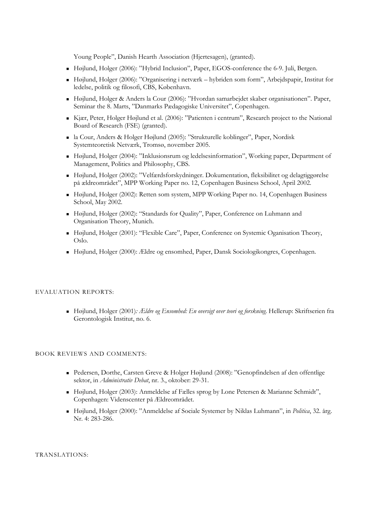Young People", Danish Hearth Association (Hjertesagen), (granted).

- Højlund, Holger (2006): "Hybrid Inclusion", Paper, EGOS-conference the 6-9. Juli, Bergen.
- Højlund, Holger (2006): "Organisering i netværk hybriden som form", Arbejdspapir, Institut for ledelse, politik og filosofi, CBS, København.
- Højlund, Holger & Anders la Cour (2006): "Hvordan samarbejdet skaber organisationen". Paper, Seminar the 8. Marts, "Danmarks Pædagogiske Universitet", Copenhagen.
- Kjær, Peter, Holger Højlund et al. (2006): "Patienten i centrum", Research project to the National Board of Research (FSE) (granted).
- la Cour, Anders & Holger Højlund (2005): "Strukturelle koblinger", Paper, Nordisk Systemteoretisk Netværk, Tromsø, november 2005.
- Højlund, Holger (2004): "Inklusionsrum og ledelsesinformation", Working paper, Department of Management, Politics and Philosophy, CBS.
- Højlund, Holger (2002): "Velfærdsforskydninger. Dokumentation, fleksibilitet og delagtiggørelse på ældreområdet", MPP Working Paper no. 12, Copenhagen Business School, April 2002.
- Højlund, Holger (2002): Retten som system, MPP Working Paper no. 14, Copenhagen Business School, May 2002.
- Højlund, Holger (2002): "Standards for Quality", Paper, Conference on Luhmann and Organisation Theory, Munich.
- Højlund, Holger (2001): "Flexible Care", Paper, Conference on Systemic Oganisation Theory, Oslo.
- Højlund, Holger (2000): Ældre og ensomhed, Paper, Dansk Sociologikongres, Copenhagen.

## EVALUATION REPORTS:

 Højlund, Holger (2001)*: Ældre og Ensomhed: En oversigt over teori og forskning*. Hellerup: Skriftserien fra Gerontologisk Institut, no. 6.

#### BOOK REVIEWS AND COMMENTS:

- Pedersen, Dorthe, Carsten Greve & Holger Højlund (2008): "Genopfindelsen af den offentlige sektor, in *Administrativ Debat*, nr. 3., oktober: 29-31.
- Højlund, Holger (2003): Anmeldelse af Fælles sprog by Lone Petersen & Marianne Schmidt", Copenhagen: Videnscenter på Ældreområdet.
- Højlund, Holger (2000): "Anmeldelse af Sociale Systemer by Niklas Luhmann", in *Politica*, 32. årg. Nr. 4: 283-286.

TRANSLATIONS: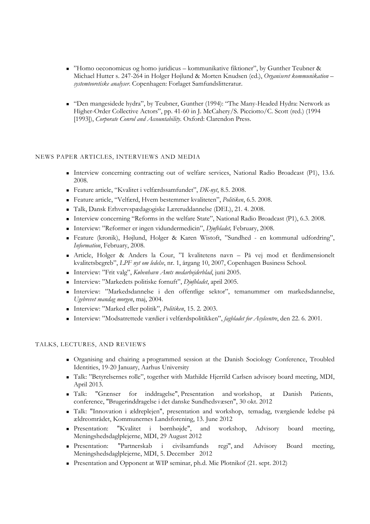- "Homo oeconomicus og homo juridicus kommunikative fiktioner", by Gunther Teubner & Michael Hutter s. 247-264 in Holger Højlund & Morten Knudsen (ed.), *Organiseret kommunikation – systemteoretiske analyser*. Copenhagen: Forlaget Samfundslitteratur.
- "Den mangesidede hydra", by Teubner, Gunther (1994): "The Many-Headed Hydra: Network as Higher-Order Collective Actors", pp. 41-60 in J. McCahery/S. Picciotto/C. Scott (red.) (1994 [1993]), *Corporate Conrol and Accountability*. Oxford: Clarendon Press.

# NEWS PAPER ARTICLES, INTERVIEWS AND MEDIA

- Interview concerning contracting out of welfare services, National Radio Broadcast (P1), 13.6. 2008.
- Feature article, "Kvalitet i velfærdssamfundet", *DK-nyt*, 8.5. 2008.
- Feature article, "Velfærd, Hvem bestemmer kvaliteten", *Politiken*, 6.5. 2008.
- Talk, Dansk Erhvervspædagogiske Læreruddannelse (DEL), 21. 4. 2008.
- Interview concerning "Reforms in the welfare State", National Radio Broadcast (P1), 6.3. 2008.
- Interview: "Reformer er ingen vidundermedicin", *Djøfbladet,* February, 2008.
- Feature (kronik), Højlund, Holger & Karen Wistoft, "Sundhed en kommunal udfordring", *Information*, February, 2008.
- Article, Holger & Anders la Cour, "I kvalitetens navn På vej mod et flerdimensionelt kvalitetsbegreb", *LPF nyt om ledelse*, nr. 1, årgang 10, 2007, Copenhagen Business School.
- Interview: "Frit valg", *København Amts medarbejderblad*, juni 2005.
- Interview: "Markedets politiske fornuft", *Djøfbladet*, april 2005.
- Interview: "Markedsdannelse i den offentlige sektor", temanummer om markedsdannelse, *Ugebrevet mandag morgen*, maj, 2004.
- Interview: "Marked eller politik", *Politiken*, 15. 2. 2003.
- Interview: "Modsatrettede værdier i velfærdspolitikken", *fagbladet for Asylcentre*, den 22. 6. 2001.

#### TALKS, LECTURES, AND REVIEWS

- Organising and chairing a programmed session at the Danish Sociology Conference, Troubled Identities, 19-20 January, Aarhus University
- Talk: "Betyrelsernes rolle", together with Mathilde Hjerrild Carlsen advisory board meeting, MDI, April 2013.
- Talk: "Grænser for inddragelse", Presentation and workshop, at Danish Patients, conference, "Brugerinddragelse i det danske Sundhedsvæsen", 30 okt. 2012
- Talk: "Innovation i ældreplejen", presentation and workshop, temadag, tværgående ledelse på ældreområdet, Kommunernes Landsforening, 13. June 2012
- Presentation: "Kvalitet i børnhøjde", and workshop, Advisory board meeting, Meningshedsdaglplejerne, MDI, 29 August 2012
- Presentation: "Partnerskab i civilsamfunds regi", and Advisory Board meeting, Meningshedsdaglplejerne, MDI, 5. December 2012
- Presentation and Opponent at WIP seminar, ph.d. Mie Plotnikof (21. sept. 2012)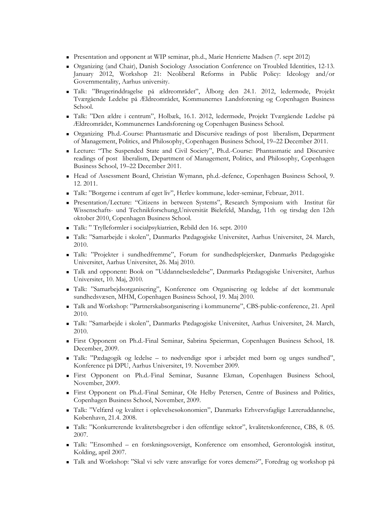- Presentation and opponent at WIP seminar, ph.d., Marie Henriette Madsen (7. sept 2012)
- Organizing (and Chair), Danish Sociology Association Conference on Troubled Identities, 12-13. January 2012, Workshop 21: Neoliberal Reforms in Public Policy: Ideology and/or Governmentality, Aarhus university.
- Talk: "Brugerinddragelse på ældreområdet", Ålborg den 24.1. 2012, ledermøde, Projekt Tværgående Ledelse på Ældreområdet, Kommunernes Landsforening og Copenhagen Business School.
- Talk: "Den ældre i centrum", Holbæk, 16.1. 2012, ledermøde, Projekt Tværgående Ledelse på Ældreområdet, Kommunernes Landsforening og Copenhagen Business School.
- Organizing Ph.d.-Course: Phantasmatic and Discursive readings of postliberalism, Department of Management, Politics, and Philosophy, Copenhagen Business School, 19–22 December 2011.
- Lecture: "The Suspended State and Civil Society", Ph.d.-Course: Phantasmatic and Discursive readings of post liberalism, Department of Management, Politics, and Philosophy, Copenhagen Business School, 19–22 December 2011.
- Head of Assessment Board, Christian Wymann, ph.d.-defence, Copenhagen Business School, 9. 12. 2011.
- Talk: "Borgerne i centrum af eget liv", Herlev kommune, leder-seminar, Februar, 2011.
- Presentation/Lecture: "Citizens in between Systems", Research Symposium with Institut für Wissenschafts- und Technikforschung,Universität Bielefeld, Mandag, 11th og tirsdag den 12th oktober 2010, Copenhagen Business School.
- Talk: " Trylleformler i socialpsykiatrien, Rebild den 16. sept. 2010
- Talk: "Samarbejde i skolen", Danmarks Pædagogiske Universitet, Aarhus Universitet, 24. March, 2010.
- Talk: "Projekter i sundhedfremme", Forum for sundhedsplejersker, Danmarks Pædagogiske Universitet, Aarhus Universitet, 26. Maj 2010.
- Talk and opponent: Book on "Uddannelsesledelse", Danmarks Pædagogiske Universitet, Aarhus Universitet, 10. Maj, 2010.
- Talk: "Samarbejdsorganisering", Konference om Organisering og ledelse af det kommunale sundhedsvæsen, MHM, Copenhagen Business School, 19. Maj 2010.
- Talk and Workshop: "Partnerskabsorganisering i kommunerne", CBS-public-conference, 21. April 2010.
- Talk: "Samarbejde i skolen", Danmarks Pædagogiske Universitet, Aarhus Universitet, 24. March, 2010.
- First Opponent on Ph.d.-Final Seminar, Sabrina Speierman, Copenhagen Business School, 18. December, 2009.
- Talk: "Pædagogik og ledelse to nødvendige spor i arbejdet med børn og unges sundhed", Konference på DPU, Aarhus Universitet, 19. November 2009.
- First Opponent on Ph.d.-Final Seminar, Susanne Ekman, Copenhagen Business School, November, 2009.
- First Opponent on Ph.d.-Final Seminar, Ole Helby Petersen, Centre of Business and Politics, Copenhagen Business School, November, 2009.
- Talk: "Velfærd og kvalitet i oplevelsesøkonomien", Danmarks Erhvervsfaglige Læreruddannelse, København, 21.4. 2008.
- Talk: "Konkurrerende kvalitetsbegreber i den offentlige sektor", kvalitetskonference, CBS, 8. 05. 2007.
- Talk: "Ensomhed en forskningsoversigt, Konference om ensomhed, Gerontologisk institut, Kolding, april 2007.
- Talk and Workshop: "Skal vi selv være ansvarlige for vores demens?", Foredrag og workshop på